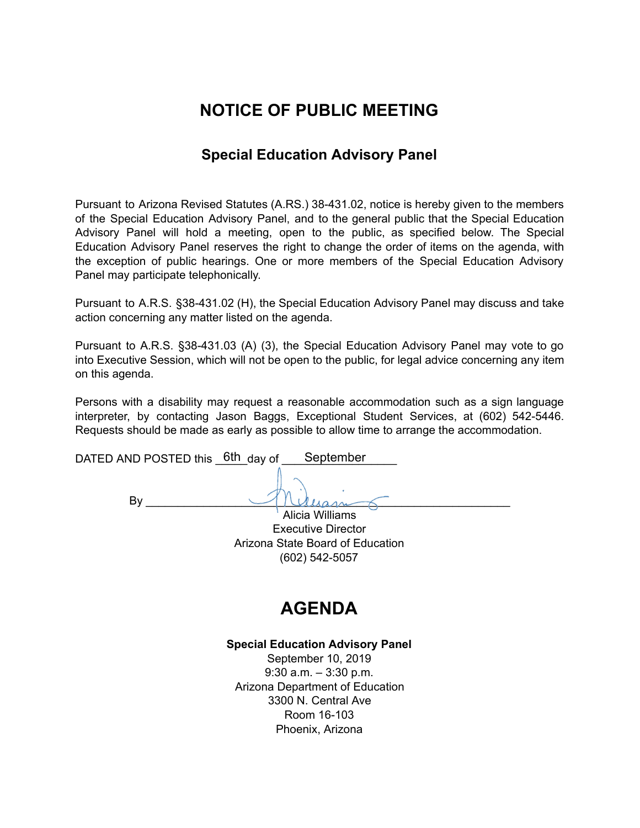# **NOTICE OF PUBLIC MEETING**

### **Special Education Advisory Panel**

Pursuant to Arizona Revised Statutes (A.RS.) 38-431.02, notice is hereby given to the members of the Special Education Advisory Panel, and to the general public that the Special Education Advisory Panel will hold a meeting, open to the public, as specified below. The Special Education Advisory Panel reserves the right to change the order of items on the agenda, with the exception of public hearings. One or more members of the Special Education Advisory Panel may participate telephonically.

Pursuant to A.R.S. §38-431.02 (H), the Special Education Advisory Panel may discuss and take action concerning any matter listed on the agenda.

Pursuant to A.R.S. §38-431.03 (A) (3), the Special Education Advisory Panel may vote to go into Executive Session, which will not be open to the public, for legal advice concerning any item on this agenda.

Persons with a disability may request a reasonable accommodation such as a sign language interpreter, by contacting Jason Baggs, Exceptional Student Services, at (602) 542-5446. Requests should be made as early as possible to allow time to arrange the accommodation.

| DATED AND POSTED this 6th day of | September       |  |
|----------------------------------|-----------------|--|
|                                  |                 |  |
|                                  |                 |  |
|                                  | Alicia Williams |  |

Executive Director Arizona State Board of Education (602) 542-5057

# **AGENDA**

#### **Special Education Advisory Panel**

September 10, 2019 9:30 a.m. – 3:30 p.m. Arizona Department of Education 3300 N. Central Ave Room 16-103 Phoenix, Arizona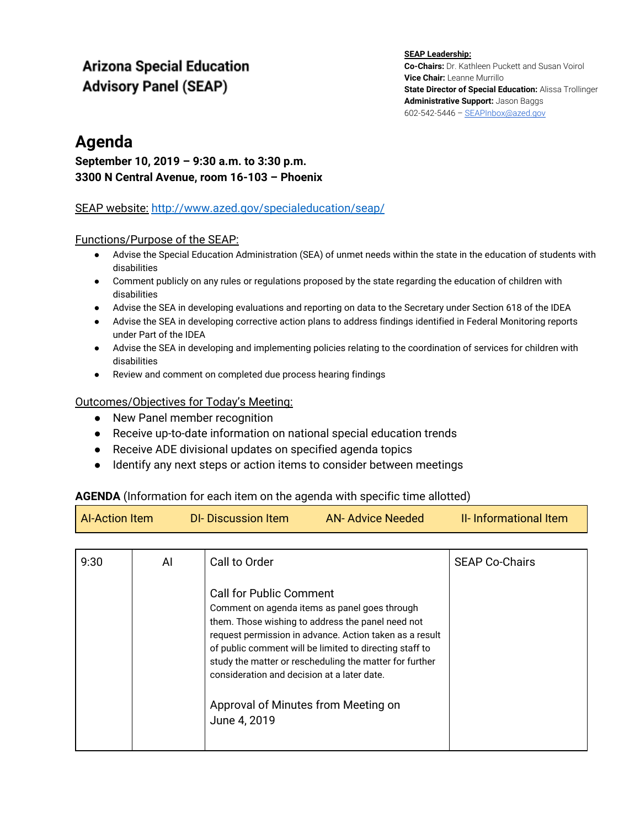### **Arizona Special Education Advisory Panel (SEAP)**

#### **SEAP Leadership: Co-Chairs:** Dr. Kathleen Puckett and Susan Voirol **Vice Chair:** Leanne Murrillo **State Director of Special Education:** Alissa Trollinger **Administrative Support:** Jason Baggs 602-542-5446 – [SEAPInbox@azed.gov](mailto:SEAPInbox@azed.gov)

### **Agenda**

### **September 10, 2019 – 9:30 a.m. to 3:30 p.m. 3300 N Central Avenue, room 16-103 – Phoenix**

### SEAP website[:](http://www.azed.gov/specialeducation/seap/) <http://www.azed.gov/specialeducation/seap/>

### Functions/Purpose of the SEAP:

- Advise the Special Education Administration (SEA) of unmet needs within the state in the education of students with disabilities
- Comment publicly on any rules or regulations proposed by the state regarding the education of children with disabilities
- Advise the SEA in developing evaluations and reporting on data to the Secretary under Section 618 of the IDEA
- Advise the SEA in developing corrective action plans to address findings identified in Federal Monitoring reports under Part of the IDEA
- Advise the SEA in developing and implementing policies relating to the coordination of services for children with disabilities
- Review and comment on completed due process hearing findings

#### Outcomes/Objectives for Today's Meeting:

- New Panel member recognition
- Receive up-to-date information on national special education trends
- Receive ADE divisional updates on specified agenda topics
- Identify any next steps or action items to consider between meetings

#### **AGENDA** (Information for each item on the agenda with specific time allotted)

| <b>Al-Action Item</b> | DI-Discussion Item | <b>AN-Advice Needed</b> | <b>II-</b> Informational Item |
|-----------------------|--------------------|-------------------------|-------------------------------|
|                       |                    |                         |                               |

| 9:30 | AI | Call to Order                                                                                                                                                                                                                                                                                                                                                        | <b>SEAP Co-Chairs</b> |
|------|----|----------------------------------------------------------------------------------------------------------------------------------------------------------------------------------------------------------------------------------------------------------------------------------------------------------------------------------------------------------------------|-----------------------|
|      |    | <b>Call for Public Comment</b><br>Comment on agenda items as panel goes through<br>them. Those wishing to address the panel need not<br>request permission in advance. Action taken as a result<br>of public comment will be limited to directing staff to<br>study the matter or rescheduling the matter for further<br>consideration and decision at a later date. |                       |
|      |    | Approval of Minutes from Meeting on<br>June 4, 2019                                                                                                                                                                                                                                                                                                                  |                       |